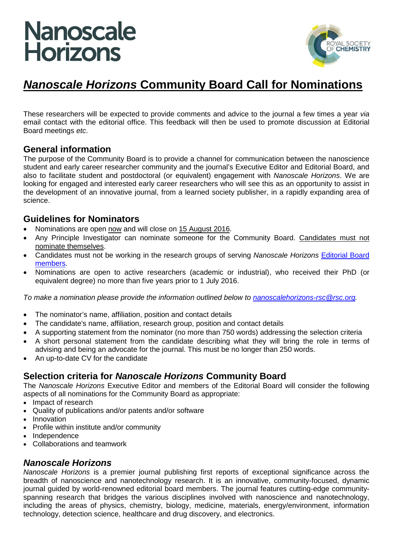# **Nanoscale Horizons**



### *Nanoscale Horizons* **Community Board Call for Nominations**

These researchers will be expected to provide comments and advice to the journal a few times a year *via* email contact with the editorial office. This feedback will then be used to promote discussion at Editorial Board meetings *etc*.

#### **General information**

The purpose of the Community Board is to provide a channel for communication between the nanoscience student and early career researcher community and the journal's Executive Editor and Editorial Board, and also to facilitate student and postdoctoral (or equivalent) engagement with *Nanoscale Horizons*. We are looking for engaged and interested early career researchers who will see this as an opportunity to assist in the development of an innovative journal, from a learned society publisher, in a rapidly expanding area of science.

#### **Guidelines for Nominators**

- Nominations are open now and will close on 15 August 2016.
- Any Principle Investigator can nominate someone for the Community Board. Candidates must not nominate themselves.
- Candidates must not be working in the research groups of serving *Nanoscale Horizons* [Editorial Board](http://www.rsc.org/journals-books-databases/about-journals/nanoscale-horizons/?id=8277)  [members.](http://www.rsc.org/journals-books-databases/about-journals/nanoscale-horizons/?id=8277)
- Nominations are open to active researchers (academic or industrial), who received their PhD (or equivalent degree) no more than five years prior to 1 July 2016.

*To make a nomination please provide the information outlined below to [nanoscalehorizons-rsc@rsc.org.](mailto:nanoscalehorizons-rsc@rsc.org)*

- The nominator's name, affiliation, position and contact details
- The candidate's name, affiliation, research group, position and contact details
- A supporting statement from the nominator (no more than 750 words) addressing the selection criteria
- A short personal statement from the candidate describing what they will bring the role in terms of advising and being an advocate for the journal. This must be no longer than 250 words.
- An up-to-date CV for the candidate

#### **Selection criteria for** *Nanoscale Horizons* **Community Board**

The *Nanoscale Horizons* Executive Editor and members of the Editorial Board will consider the following aspects of all nominations for the Community Board as appropriate:

- Impact of research
- Quality of publications and/or patents and/or software
- **Innovation**
- Profile within institute and/or community
- Independence
- Collaborations and teamwork

#### *Nanoscale Horizons*

*Nanoscale Horizons* is a premier journal publishing first reports of exceptional significance across the breadth of nanoscience and nanotechnology research. It is an innovative, community-focused, dynamic journal guided by world-renowned editorial board members. The journal features cutting-edge communityspanning research that bridges the various disciplines involved with nanoscience and nanotechnology, including the areas of physics, chemistry, biology, medicine, materials, energy/environment, information technology, detection science, healthcare and drug discovery, and electronics.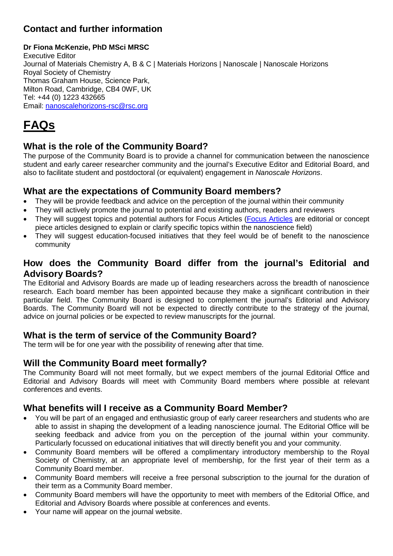#### **Contact and further information**

#### **Dr Fiona McKenzie, PhD MSci MRSC**

Executive Editor Journal of Materials Chemistry A, B & C | Materials Horizons | Nanoscale | Nanoscale Horizons Royal Society of Chemistry Thomas Graham House, Science Park, Milton Road, Cambridge, CB4 0WF, UK Tel: +44 (0) 1223 432665 Email: [nanoscalehorizons-rsc@rsc.org](mailto:nanoscalehorizons-rsc@rsc.org)

# **FAQs**

#### **What is the role of the Community Board?**

The purpose of the Community Board is to provide a channel for communication between the nanoscience student and early career researcher community and the journal's Executive Editor and Editorial Board, and also to facilitate student and postdoctoral (or equivalent) engagement in *Nanoscale Horizons*.

#### **What are the expectations of Community Board members?**

- They will be provide feedback and advice on the perception of the journal within their community
- They will actively promote the journal to potential and existing authors, readers and reviewers
- They will suggest topics and potential authors for Focus Articles [\(Focus Articles](http://www.rsc.org/journals-books-databases/about-journals/nanoscale-horizons/?id=8277#undefined) are editorial or concept piece articles designed to explain or clarify specific topics within the nanoscience field)
- They will suggest education-focused initiatives that they feel would be of benefit to the nanoscience community

#### **How does the Community Board differ from the journal's Editorial and Advisory Boards?**

The Editorial and Advisory Boards are made up of leading researchers across the breadth of nanoscience research. Each board member has been appointed because they make a significant contribution in their particular field. The Community Board is designed to complement the journal's Editorial and Advisory Boards. The Community Board will not be expected to directly contribute to the strategy of the journal, advice on journal policies or be expected to review manuscripts for the journal.

#### **What is the term of service of the Community Board?**

The term will be for one year with the possibility of renewing after that time.

#### **Will the Community Board meet formally?**

The Community Board will not meet formally, but we expect members of the journal Editorial Office and Editorial and Advisory Boards will meet with Community Board members where possible at relevant conferences and events.

#### **What benefits will I receive as a Community Board Member?**

- You will be part of an engaged and enthusiastic group of early career researchers and students who are able to assist in shaping the development of a leading nanoscience journal. The Editorial Office will be seeking feedback and advice from you on the perception of the journal within your community. Particularly focussed on educational initiatives that will directly benefit you and your community.
- Community Board members will be offered a complimentary introductory membership to the Royal Society of Chemistry, at an appropriate level of membership, for the first year of their term as a Community Board member.
- Community Board members will receive a free personal subscription to the journal for the duration of their term as a Community Board member.
- Community Board members will have the opportunity to meet with members of the Editorial Office, and Editorial and Advisory Boards where possible at conferences and events.
- Your name will appear on the journal website.